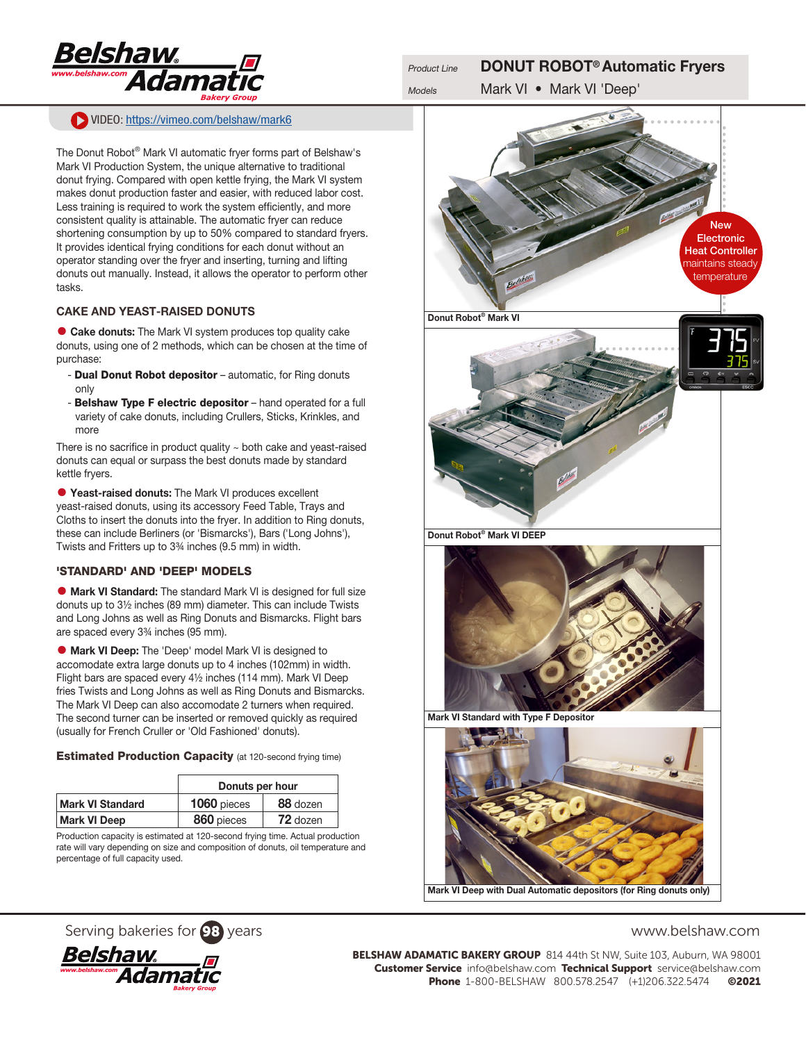

# VIDEO: <https://vimeo.com/belshaw/mark6>

The Donut Robot® Mark VI automatic fryer forms part of Belshaw's Mark VI Production System, the unique alternative to traditional donut frying. Compared with open kettle frying, the Mark VI system makes donut production faster and easier, with reduced labor cost. Less training is required to work the system efficiently, and more consistent quality is attainable. The automatic fryer can reduce shortening consumption by up to 50% compared to standard fryers. It provides identical frying conditions for each donut without an operator standing over the fryer and inserting, turning and lifting donuts out manually. Instead, it allows the operator to perform other tasks.

#### CAKE AND YEAST-RAISED DONUTS

• Cake donuts: The Mark VI system produces top quality cake donuts, using one of 2 methods, which can be chosen at the time of purchase:

- **Dual Donut Robot depositor** automatic, for Ring donuts only
- Belshaw Type F electric depositor hand operated for a full variety of cake donuts, including Crullers, Sticks, Krinkles, and more

There is no sacrifice in product quality  $\sim$  both cake and yeast-raised donuts can equal or surpass the best donuts made by standard kettle fryers.

• Yeast-raised donuts: The Mark VI produces excellent yeast-raised donuts, using its accessory Feed Table, Trays and Cloths to insert the donuts into the fryer. In addition to Ring donuts, these can include Berliners (or 'Bismarcks'), Bars ('Long Johns'), Twists and Fritters up to 3¾ inches (9.5 mm) in width.

#### 'STANDARD' AND 'DEEP' MODELS

• Mark VI Standard: The standard Mark VI is designed for full size donuts up to 3½ inches (89 mm) diameter. This can include Twists and Long Johns as well as Ring Donuts and Bismarcks. Flight bars are spaced every 3¾ inches (95 mm).

• Mark VI Deep: The 'Deep' model Mark VI is designed to accomodate extra large donuts up to 4 inches (102mm) in width. Flight bars are spaced every 4½ inches (114 mm). Mark VI Deep fries Twists and Long Johns as well as Ring Donuts and Bismarcks. The Mark VI Deep can also accomodate 2 turners when required. The second turner can be inserted or removed quickly as required (usually for French Cruller or 'Old Fashioned' donuts).

#### **Estimated Production Capacity** (at 120-second frying time)

|                         | Donuts per hour |          |  |
|-------------------------|-----------------|----------|--|
| <b>Mark VI Standard</b> | 1060 pieces     | 88 dozen |  |
| <b>Mark VI Deep</b>     | 860 pieces      | 72 dozen |  |

Production capacity is estimated at 120-second frying time. Actual production rate will vary depending on size and composition of donuts, oil temperature and percentage of full capacity used.



# Serving bakeries for 98 years www.belshaw.com



BELSHAW ADAMATIC BAKERY GROUP 814 44th St NW, Suite 103, Auburn, WA 98001 Customer Service info@belshaw.com Technical Support service@belshaw.com Phone 1-800-BELSHAW 800.578.2547 (+1)206.322.5474 ©2021